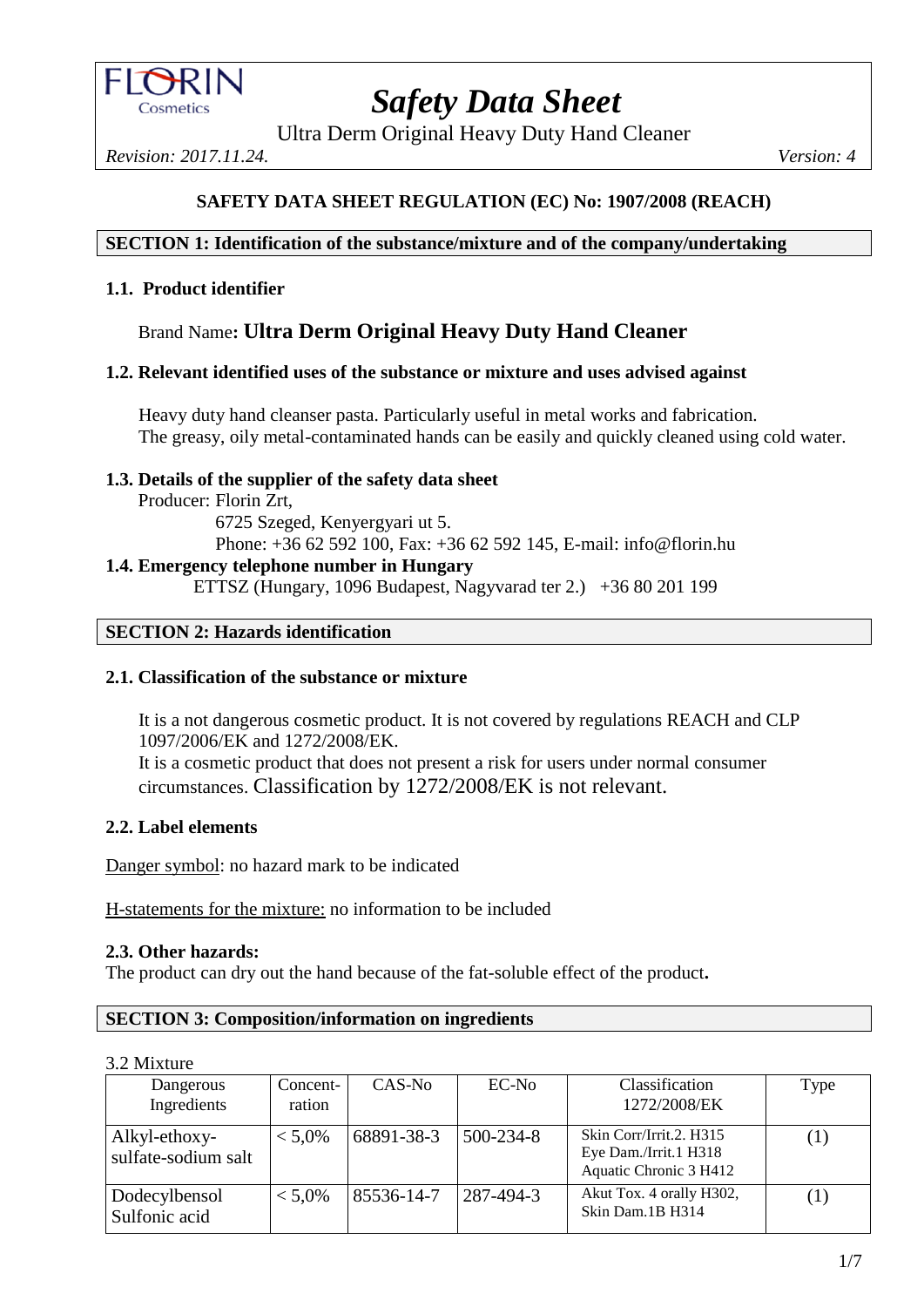

Ultra Derm Original Heavy Duty Hand Cleaner

*Revision: 2017.11.24. Version: 4*

# **SAFETY DATA SHEET REGULATION (EC) No: 1907/2008 (REACH)**

#### **SECTION 1: Identification of the substance/mixture and of the company/undertaking**

#### **1.1. Product identifier**

# Brand Name**: Ultra Derm Original Heavy Duty Hand Cleaner**

#### **1.2. Relevant identified uses of the substance or mixture and uses advised against**

Heavy duty hand cleanser pasta. Particularly useful in metal works and fabrication. The greasy, oily metal-contaminated hands can be easily and quickly cleaned using cold water.

#### **1.3. Details of the supplier of the safety data sheet**

Producer: Florin Zrt,

6725 Szeged, Kenyergyari ut 5. Phone: +36 62 592 100, Fax: +36 62 592 145, E-mail: info@florin.hu **1.4. Emergency telephone number in Hungary**

ETTSZ (Hungary, 1096 Budapest, Nagyvarad ter 2.) +36 80 201 199

## **SECTION 2: Hazards identification**

## **2.1. Classification of the substance or mixture**

It is a not dangerous cosmetic product. It is not covered by regulations REACH and CLP 1097/2006/EK and 1272/2008/EK. It is a cosmetic product that does not present a risk for users under normal consumer

circumstances. Classification by 1272/2008/EK is not relevant.

## **2.2. Label elements**

Danger symbol: no hazard mark to be indicated

H-statements for the mixture: no information to be included

## **2.3. Other hazards:**

The product can dry out the hand because of the fat-soluble effect of the product**.**

## **SECTION 3: Composition/information on ingredients**

#### 3.2 Mixture

| Dangerous<br>Ingredients             | Concent-<br>ration | $CAS-N0$   | $EC-N0$         | Classification<br>1272/2008/EK                                             | Type |
|--------------------------------------|--------------------|------------|-----------------|----------------------------------------------------------------------------|------|
| Alkyl-ethoxy-<br>sulfate-sodium salt | $< 5.0\%$          | 68891-38-3 | $500 - 234 - 8$ | Skin Corr/Irrit.2. H315<br>Eye Dam./Irrit.1 H318<br>Aquatic Chronic 3 H412 | (1)  |
| Dodecylbensol<br>Sulfonic acid       | $< 5.0\%$          | 85536-14-7 | 287-494-3       | Akut Tox. 4 orally H302,<br>Skin Dam. 1B H314                              |      |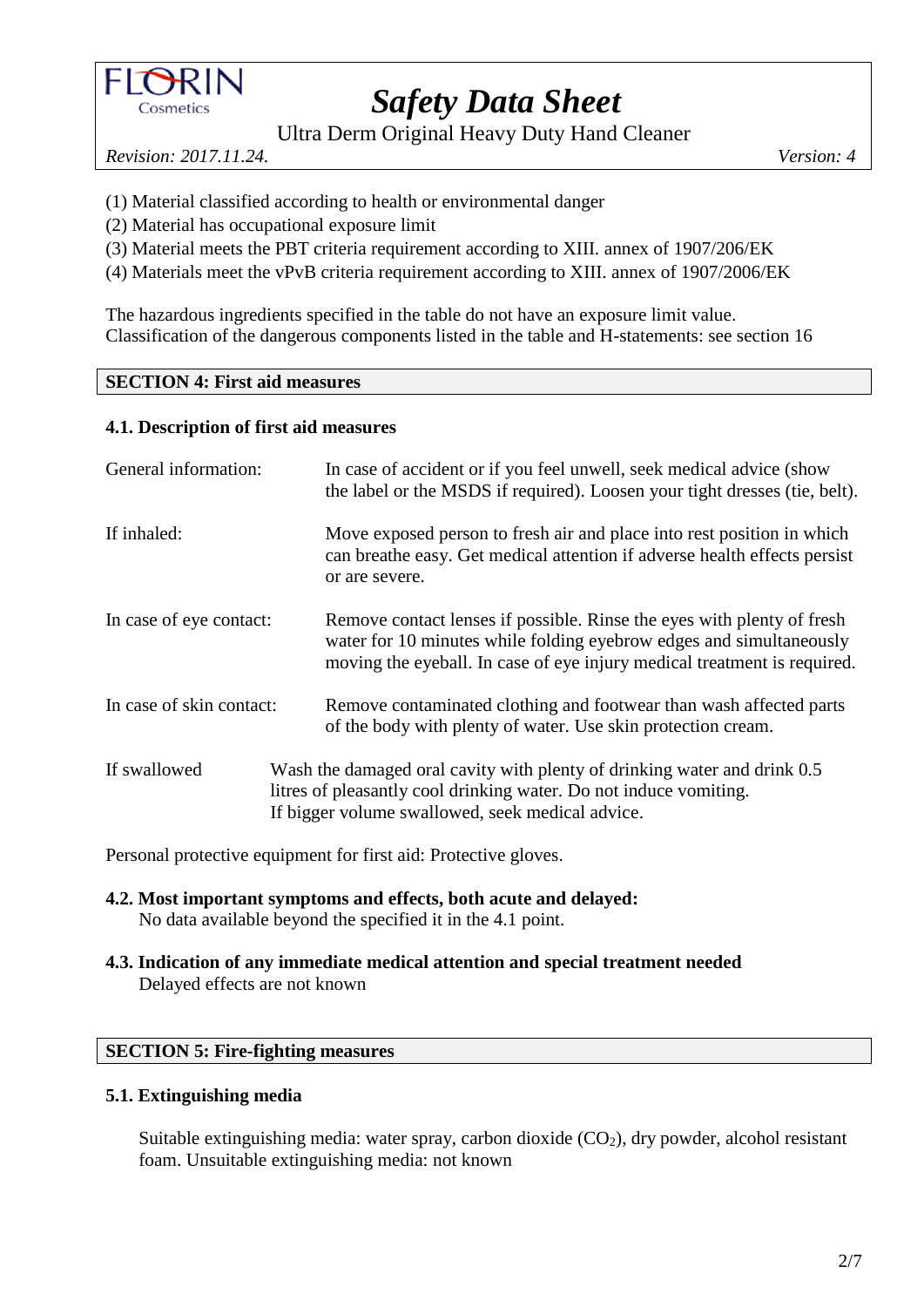

Ultra Derm Original Heavy Duty Hand Cleaner

*Revision: 2017.11.24. Version: 4*

- (1) Material classified according to health or environmental danger
- (2) Material has occupational exposure limit
- (3) Material meets the PBT criteria requirement according to XIII. annex of 1907/206/EK
- (4) Materials meet the vPvB criteria requirement according to XIII. annex of 1907/2006/EK

The hazardous ingredients specified in the table do not have an exposure limit value. Classification of the dangerous components listed in the table and H-statements: see section 16

## **SECTION 4: First aid measures**

## **4.1. Description of first aid measures**

| General information:     | In case of accident or if you feel unwell, seek medical advice (show<br>the label or the MSDS if required). Loosen your tight dresses (tie, belt).                                                                        |
|--------------------------|---------------------------------------------------------------------------------------------------------------------------------------------------------------------------------------------------------------------------|
| If inhaled:              | Move exposed person to fresh air and place into rest position in which<br>can breathe easy. Get medical attention if adverse health effects persist<br>or are severe.                                                     |
| In case of eye contact:  | Remove contact lenses if possible. Rinse the eyes with plenty of fresh<br>water for 10 minutes while folding eyebrow edges and simultaneously<br>moving the eyeball. In case of eye injury medical treatment is required. |
| In case of skin contact: | Remove contaminated clothing and footwear than wash affected parts<br>of the body with plenty of water. Use skin protection cream.                                                                                        |
| If swallowed             | Wash the damaged oral cavity with plenty of drinking water and drink 0.5<br>litres of pleasantly cool drinking water. Do not induce vomiting.<br>If bigger volume swallowed, seek medical advice.                         |

Personal protective equipment for first aid: Protective gloves.

- **4.2. Most important symptoms and effects, both acute and delayed:** No data available beyond the specified it in the 4.1 point.
- **4.3. Indication of any immediate medical attention and special treatment needed** Delayed effects are not known

## **SECTION 5: Fire-fighting measures**

# **5.1. Extinguishing media**

Suitable extinguishing media: water spray, carbon dioxide  $(CO<sub>2</sub>)$ , dry powder, alcohol resistant foam. Unsuitable extinguishing media: not known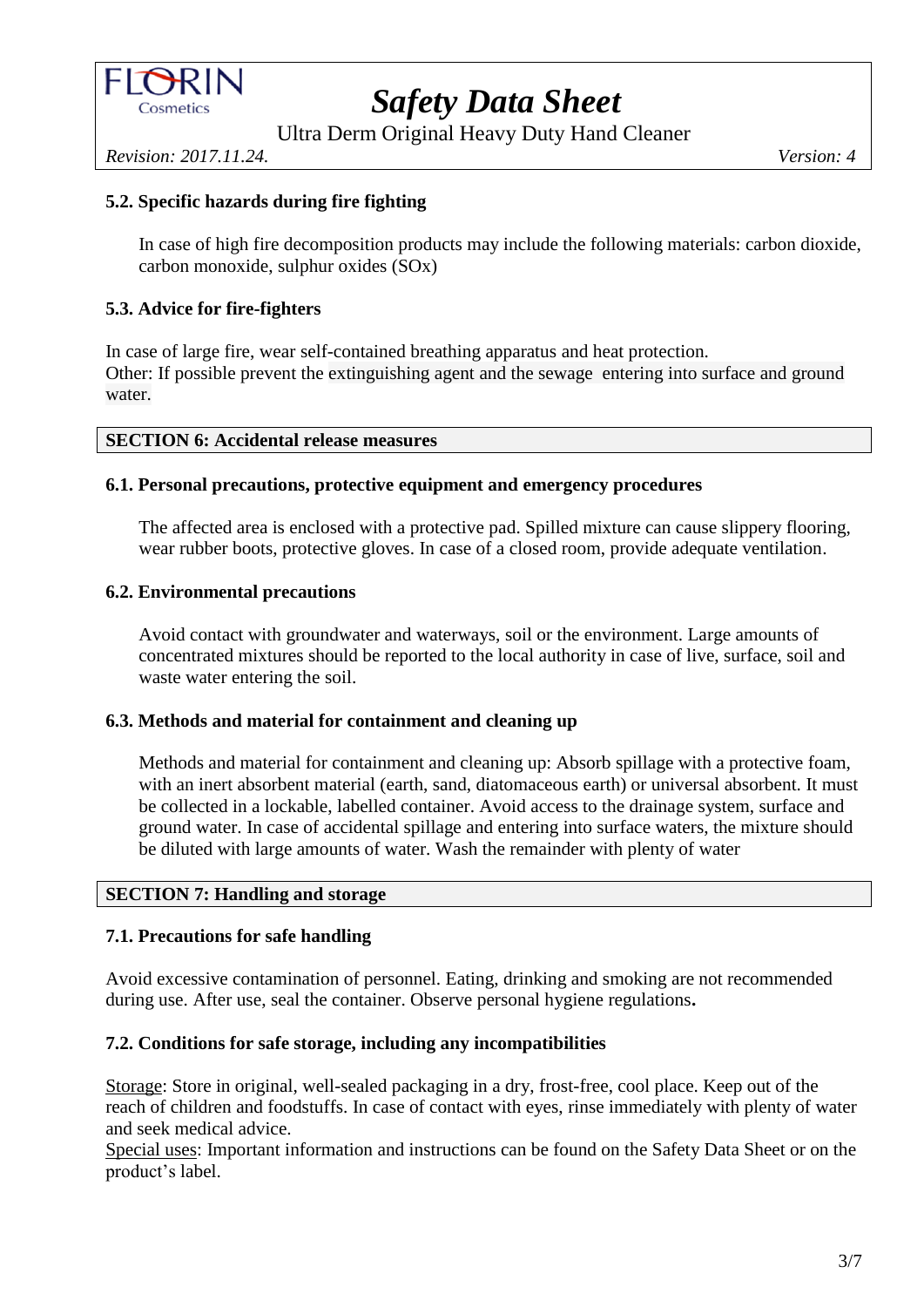

Ultra Derm Original Heavy Duty Hand Cleaner

*Revision: 2017.11.24. Version: 4*

# **5.2. Specific hazards during fire fighting**

In case of high fire decomposition products may include the following materials: carbon dioxide, carbon monoxide, sulphur oxides (SOx)

## **5.3. Advice for fire-fighters**

In case of large fire, wear self-contained breathing apparatus and heat protection. Other: If possible prevent the extinguishing agent and the sewage entering into surface and ground water.

#### **SECTION 6: Accidental release measures**

## **6.1. Personal precautions, protective equipment and emergency procedures**

The affected area is enclosed with a protective pad. Spilled mixture can cause slippery flooring, wear rubber boots, protective gloves. In case of a closed room, provide adequate ventilation.

#### **6.2. Environmental precautions**

Avoid contact with groundwater and waterways, soil or the environment. Large amounts of concentrated mixtures should be reported to the local authority in case of live, surface, soil and waste water entering the soil.

#### **6.3. Methods and material for containment and cleaning up**

Methods and material for containment and cleaning up: Absorb spillage with a protective foam, with an inert absorbent material (earth, sand, diatomaceous earth) or universal absorbent. It must be collected in a lockable, labelled container. Avoid access to the drainage system, surface and ground water. In case of accidental spillage and entering into surface waters, the mixture should be diluted with large amounts of water. Wash the remainder with plenty of water

## **SECTION 7: Handling and storage**

## **7.1. Precautions for safe handling**

Avoid excessive contamination of personnel. Eating, drinking and smoking are not recommended during use. After use, seal the container. Observe personal hygiene regulations**.**

#### **7.2. Conditions for safe storage, including any incompatibilities**

Storage: Store in original, well-sealed packaging in a dry, frost-free, cool place. Keep out of the reach of children and foodstuffs. In case of contact with eyes, rinse immediately with plenty of water and seek medical advice.

Special uses: Important information and instructions can be found on the Safety Data Sheet or on the product's label.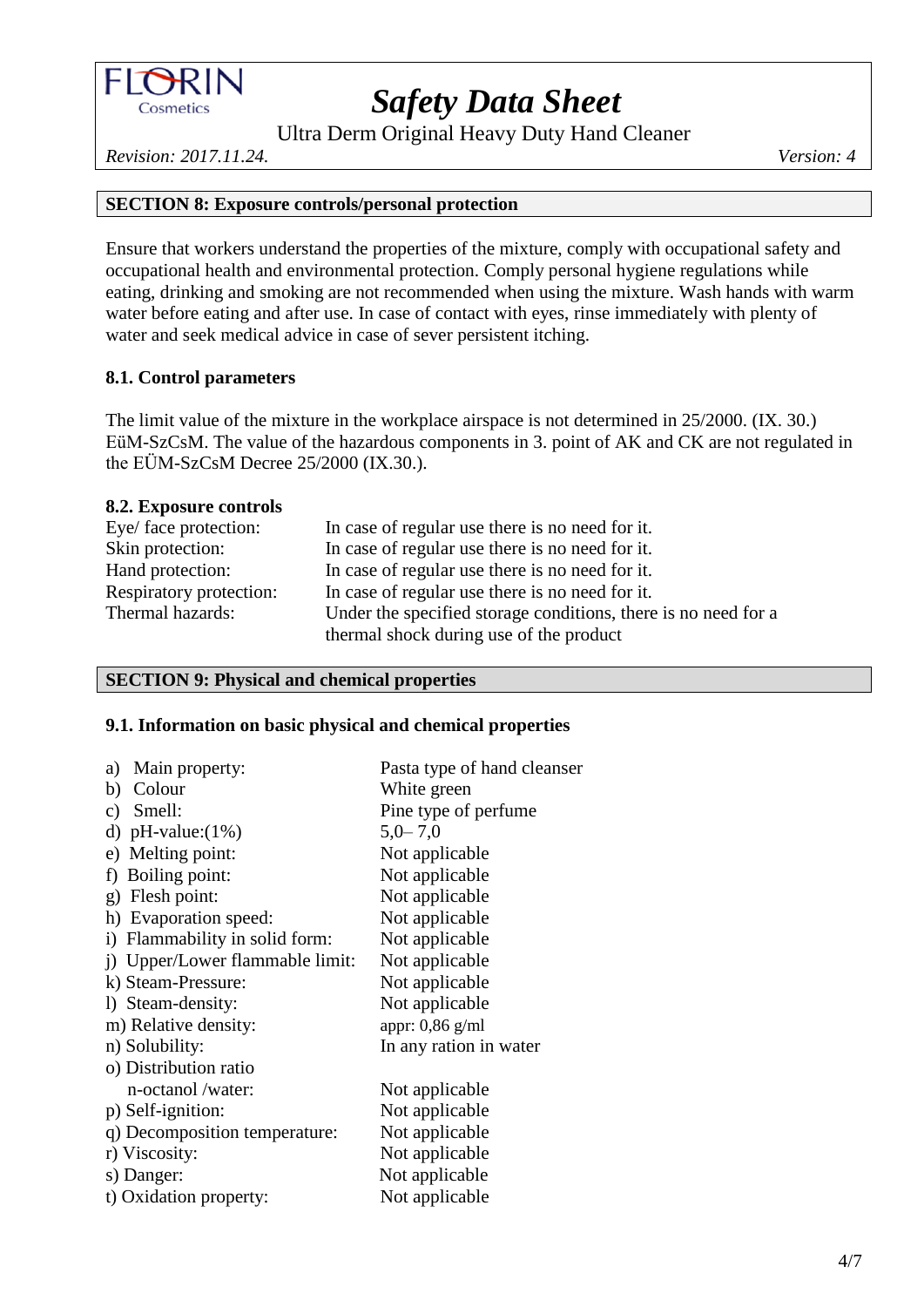

Ultra Derm Original Heavy Duty Hand Cleaner

*Revision: 2017.11.24. Version: 4*

# **SECTION 8: Exposure controls/personal protection**

Ensure that workers understand the properties of the mixture, comply with occupational safety and occupational health and environmental protection. Comply personal hygiene regulations while eating, drinking and smoking are not recommended when using the mixture. Wash hands with warm water before eating and after use. In case of contact with eyes, rinse immediately with plenty of water and seek medical advice in case of sever persistent itching.

## **8.1. Control parameters**

The limit value of the mixture in the workplace airspace is not determined in 25/2000. (IX. 30.) EüM-SzCsM. The value of the hazardous components in 3. point of AK and CK are not regulated in the EÜM-SzCsM Decree 25/2000 (IX.30.).

#### **8.2. Exposure controls**

| Eye/ face protection:   | In case of regular use there is no need for it.                |
|-------------------------|----------------------------------------------------------------|
| Skin protection:        | In case of regular use there is no need for it.                |
| Hand protection:        | In case of regular use there is no need for it.                |
| Respiratory protection: | In case of regular use there is no need for it.                |
| Thermal hazards:        | Under the specified storage conditions, there is no need for a |
|                         | thermal shock during use of the product                        |

## **SECTION 9: Physical and chemical properties**

#### **9.1. Information on basic physical and chemical properties**

| Main property:<br>a)            | Pasta type of hand cleanser |
|---------------------------------|-----------------------------|
| Colour<br>b)                    | White green                 |
| c) Smell:                       | Pine type of perfume        |
| d) pH-value: $(1\%)$            | $5,0-7,0$                   |
| e) Melting point:               | Not applicable              |
| f) Boiling point:               | Not applicable              |
| g) Flesh point:                 | Not applicable              |
| h) Evaporation speed:           | Not applicable              |
| i) Flammability in solid form:  | Not applicable              |
| i) Upper/Lower flammable limit: | Not applicable              |
| k) Steam-Pressure:              | Not applicable              |
| 1) Steam-density:               | Not applicable              |
| m) Relative density:            | appr: 0,86 g/ml             |
| n) Solubility:                  | In any ration in water      |
| o) Distribution ratio           |                             |
| n-octanol /water:               | Not applicable              |
| p) Self-ignition:               | Not applicable              |
| q) Decomposition temperature:   | Not applicable              |
| r) Viscosity:                   | Not applicable              |
| s) Danger:                      | Not applicable              |
| t) Oxidation property:          | Not applicable              |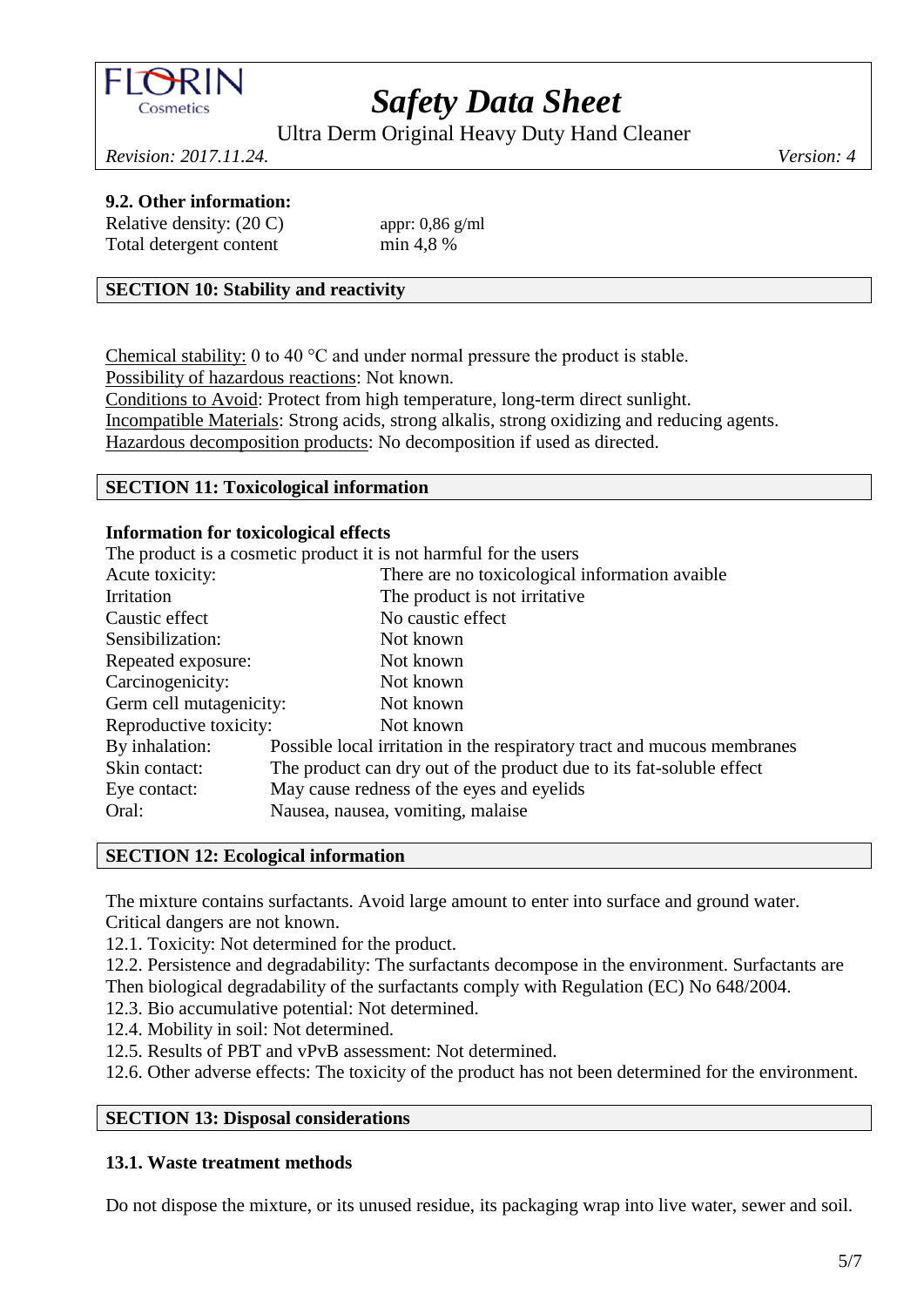

Ultra Derm Original Heavy Duty Hand Cleaner

*Revision: 2017.11.24. Version: 4*

## **9.2. Other information:**

| Relative density: $(20 C)$ |  |
|----------------------------|--|
| Total detergent content    |  |

appr:  $0,86$  g/ml  $min$  4.8 %

## **SECTION 10: Stability and reactivity**

Chemical stability: 0 to 40 °C and under normal pressure the product is stable. Possibility of hazardous reactions: Not known. Conditions to Avoid: Protect from high temperature, long-term direct sunlight. Incompatible Materials: Strong acids, strong alkalis, strong oxidizing and reducing agents.

Hazardous decomposition products: No decomposition if used as directed.

# **SECTION 11: Toxicological information**

#### **Information for toxicological effects**

The product is a cosmetic product it is not harmful for the users

| Acute toxicity:         |                                   | There are no toxicological information avaible                          |
|-------------------------|-----------------------------------|-------------------------------------------------------------------------|
| Irritation              |                                   | The product is not irritative.                                          |
| Caustic effect          |                                   | No caustic effect                                                       |
| Sensibilization:        |                                   | Not known                                                               |
| Repeated exposure:      |                                   | Not known                                                               |
| Carcinogenicity:        |                                   | Not known                                                               |
| Germ cell mutagenicity: |                                   | Not known                                                               |
| Reproductive toxicity:  |                                   | Not known                                                               |
| By inhalation:          |                                   | Possible local irritation in the respiratory tract and mucous membranes |
| Skin contact:           |                                   | The product can dry out of the product due to its fat-soluble effect    |
| Eye contact:            |                                   | May cause redness of the eyes and eyelids                               |
| Oral:                   | Nausea, nausea, vomiting, malaise |                                                                         |
|                         |                                   |                                                                         |

#### **SECTION 12: Ecological information**

The mixture contains surfactants. Avoid large amount to enter into surface and ground water. Critical dangers are not known.

12.1. Toxicity: Not determined for the product.

12.2. Persistence and degradability: The surfactants decompose in the environment. Surfactants are Then biological degradability of the surfactants comply with Regulation (EC) No 648/2004.

- 12.3. Bio accumulative potential: Not determined.
- 12.4. Mobility in soil: Not determined.
- 12.5. Results of PBT and vPvB assessment: Not determined.
- 12.6. Other adverse effects: The toxicity of the product has not been determined for the environment.

## **SECTION 13: Disposal considerations**

#### **13.1. Waste treatment methods**

Do not dispose the mixture, or its unused residue, its packaging wrap into live water, sewer and soil.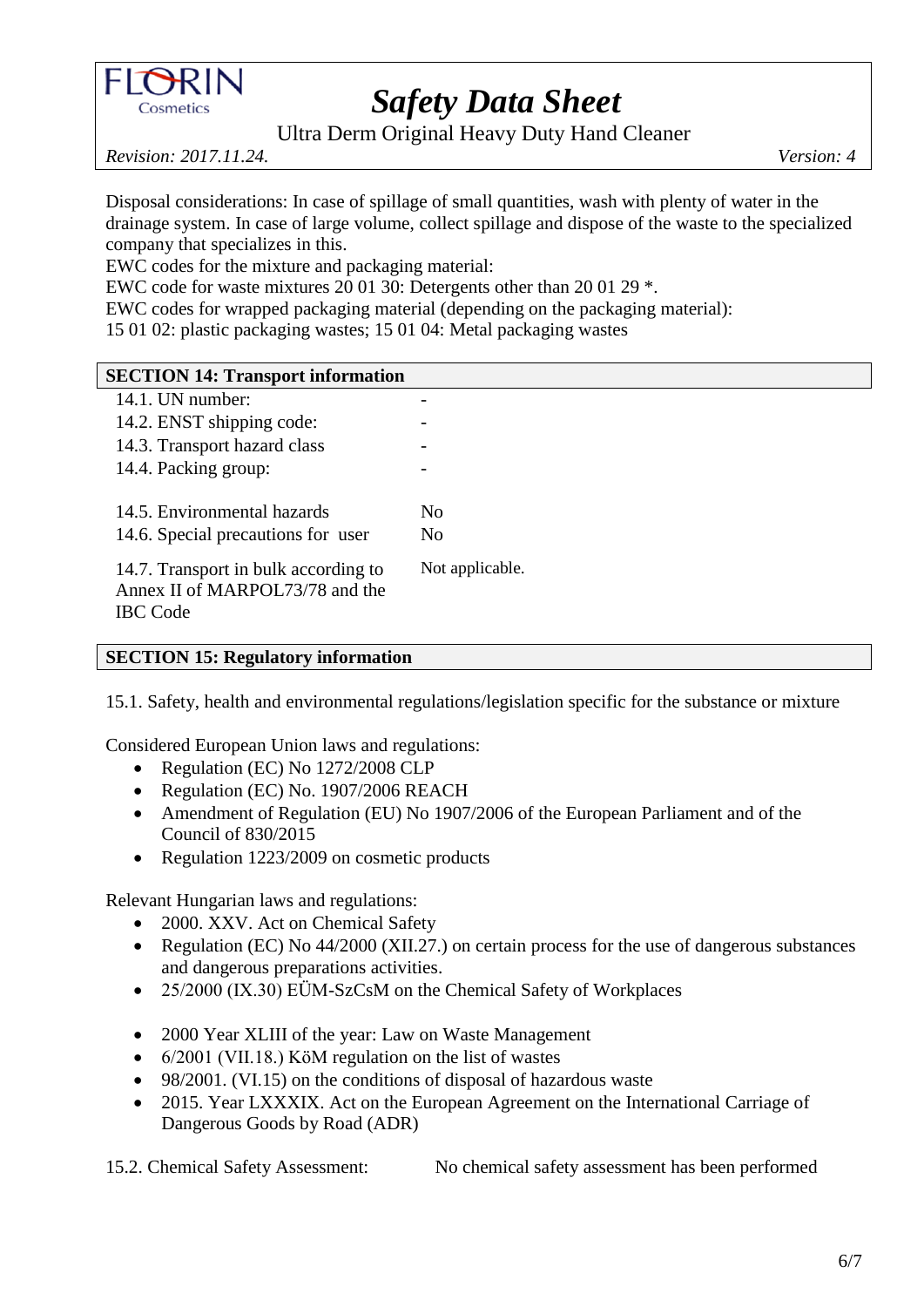

Ultra Derm Original Heavy Duty Hand Cleaner

*Revision: 2017.11.24. Version: 4*

Disposal considerations: In case of spillage of small quantities, wash with plenty of water in the drainage system. In case of large volume, collect spillage and dispose of the waste to the specialized company that specializes in this.

EWC codes for the mixture and packaging material:

EWC code for waste mixtures 20 01 30: Detergents other than 20 01 29 \*.

EWC codes for wrapped packaging material (depending on the packaging material):

15 01 02: plastic packaging wastes; 15 01 04: Metal packaging wastes

# **SECTION 14: Transport information**

| 14.1. UN number:                                                                           |                 |
|--------------------------------------------------------------------------------------------|-----------------|
| 14.2. ENST shipping code:                                                                  |                 |
| 14.3. Transport hazard class                                                               |                 |
| 14.4. Packing group:                                                                       |                 |
|                                                                                            |                 |
| 14.5. Environmental hazards                                                                | Nο              |
| 14.6. Special precautions for user                                                         | No              |
| 14.7. Transport in bulk according to<br>Annex II of MARPOL73/78 and the<br><b>IBC</b> Code | Not applicable. |

# **SECTION 15: Regulatory information**

15.1. Safety, health and environmental regulations/legislation specific for the substance or mixture

Considered European Union laws and regulations:

- Regulation (EC) No 1272/2008 CLP
- Regulation (EC) No. 1907/2006 REACH
- Amendment of Regulation (EU) No 1907/2006 of the European Parliament and of the Council of 830/2015
- Regulation 1223/2009 on cosmetic products

Relevant Hungarian laws and regulations:

- 2000. XXV. Act on Chemical Safety
- Regulation (EC) No 44/2000 (XII.27.) on certain process for the use of dangerous substances and dangerous preparations activities.
- 25/2000 (IX.30) EÜM-SzCsM on the Chemical Safety of Workplaces
- 2000 Year XLIII of the year: Law on Waste Management
- 6/2001 (VII.18.) KöM regulation on the list of wastes
- 98/2001. (VI.15) on the conditions of disposal of hazardous waste
- 2015. Year LXXXIX. Act on the European Agreement on the International Carriage of Dangerous Goods by Road (ADR)

15.2. Chemical Safety Assessment: No chemical safety assessment has been performed